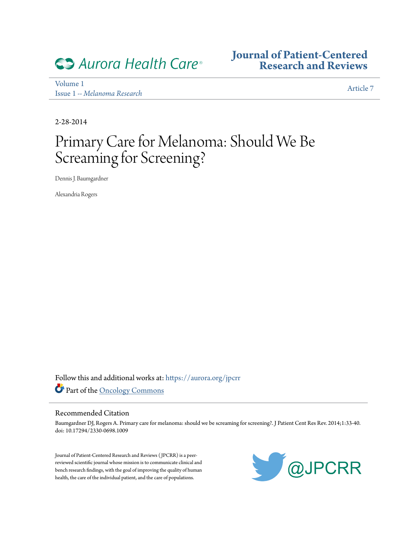

**[Journal of Patient-Centered](https://digitalrepository.aurorahealthcare.org/jpcrr?utm_source=digitalrepository.aurorahealthcare.org%2Fjpcrr%2Fvol1%2Fiss1%2F7&utm_medium=PDF&utm_campaign=PDFCoverPages) [Research and Reviews](https://digitalrepository.aurorahealthcare.org/jpcrr?utm_source=digitalrepository.aurorahealthcare.org%2Fjpcrr%2Fvol1%2Fiss1%2F7&utm_medium=PDF&utm_campaign=PDFCoverPages)**

[Volume 1](https://digitalrepository.aurorahealthcare.org/jpcrr/vol1?utm_source=digitalrepository.aurorahealthcare.org%2Fjpcrr%2Fvol1%2Fiss1%2F7&utm_medium=PDF&utm_campaign=PDFCoverPages) Issue 1 *[-- Melanoma Research](https://digitalrepository.aurorahealthcare.org/jpcrr/vol1/iss1?utm_source=digitalrepository.aurorahealthcare.org%2Fjpcrr%2Fvol1%2Fiss1%2F7&utm_medium=PDF&utm_campaign=PDFCoverPages)*

[Article 7](https://digitalrepository.aurorahealthcare.org/jpcrr/vol1/iss1/7?utm_source=digitalrepository.aurorahealthcare.org%2Fjpcrr%2Fvol1%2Fiss1%2F7&utm_medium=PDF&utm_campaign=PDFCoverPages)

2-28-2014

# Primary Care for Melanoma: Should We Be Screaming for Screening?

Dennis J. Baumgardner

Alexandria Rogers

Follow this and additional works at: [https://aurora.org/jpcrr](https://digitalrepository.aurorahealthcare.org/jpcrr?utm_source=digitalrepository.aurorahealthcare.org%2Fjpcrr%2Fvol1%2Fiss1%2F7&utm_medium=PDF&utm_campaign=PDFCoverPages) Part of the [Oncology Commons](http://network.bepress.com/hgg/discipline/694?utm_source=digitalrepository.aurorahealthcare.org%2Fjpcrr%2Fvol1%2Fiss1%2F7&utm_medium=PDF&utm_campaign=PDFCoverPages)

#### Recommended Citation

Baumgardner DJ, Rogers A. Primary care for melanoma: should we be screaming for screening?. J Patient Cent Res Rev. 2014;1:33-40. doi: 10.17294/2330-0698.1009

Journal of Patient-Centered Research and Reviews ( JPCRR) is a peerreviewed scientific journal whose mission is to communicate clinical and bench research findings, with the goal of improving the quality of human health, the care of the individual patient, and the care of populations.

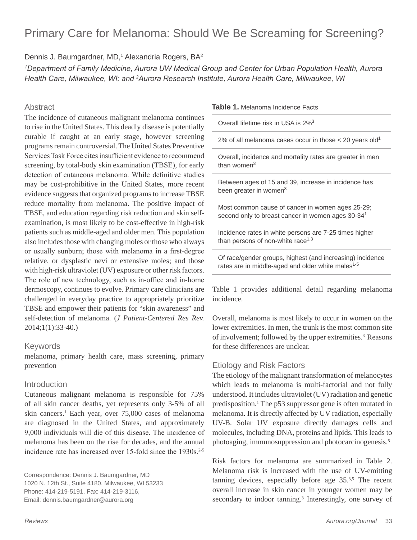# Dennis J. Baumgardner, MD,<sup>1</sup> Alexandria Rogers, BA<sup>2</sup>

*1Department of Family Medicine, Aurora UW Medical Group and Center for Urban Population Health, Aurora Health Care, Milwaukee, WI; and 2Aurora Research Institute, Aurora Health Care, Milwaukee, WI*

# **Abstract**

The incidence of cutaneous malignant melanoma continues to rise in the United States. This deadly disease is potentially curable if caught at an early stage, however screening programs remain controversial. The United States Preventive Services Task Force cites insufficient evidence to recommend screening, by total-body skin examination (TBSE), for early detection of cutaneous melanoma. While definitive studies may be cost-prohibitive in the United States, more recent evidence suggests that organized programs to increase TBSE reduce mortality from melanoma. The positive impact of TBSE, and education regarding risk reduction and skin selfexamination, is most likely to be cost-effective in high-risk patients such as middle-aged and older men. This population also includes those with changing moles or those who always or usually sunburn; those with melanoma in a first-degree relative, or dysplastic nevi or extensive moles; and those with high-risk ultraviolet (UV) exposure or other risk factors. The role of new technology, such as in-office and in-home dermoscopy, continues to evolve. Primary care clinicians are challenged in everyday practice to appropriately prioritize TBSE and empower their patients for "skin awareness" and self-detection of melanoma. (*J Patient-Centered Res Rev.* 2014;1(1):33-40.)

# Keywords

melanoma, primary health care, mass screening, primary prevention

# Introduction

Cutaneous malignant melanoma is responsible for 75% of all skin cancer deaths, yet represents only 3-5% of all skin cancers.<sup>1</sup> Each year, over 75,000 cases of melanoma are diagnosed in the United States, and approximately 9,000 individuals will die of this disease. The incidence of melanoma has been on the rise for decades, and the annual incidence rate has increased over 15-fold since the  $1930s$ .<sup>2-5</sup>

Correspondence: Dennis J. Baumgardner, MD 1020 N. 12th St., Suite 4180, Milwaukee, WI 53233 Phone: 414-219-5191, Fax: 414-219-3116, Email: dennis.baumgardner@aurora.org

Overall lifetime risk in USA is 2%3

2% of all melanoma cases occur in those  $<$  20 years old<sup>1</sup>

Overall, incidence and mortality rates are greater in men than women $3$ 

Between ages of 15 and 39, increase in incidence has been greater in women<sup>3</sup>

Most common cause of cancer in women ages 25-29; second only to breast cancer in women ages 30-34<sup>1</sup>

Incidence rates in white persons are 7-25 times higher than persons of non-white race $1,3$ 

Of race/gender groups, highest (and increasing) incidence rates are in middle-aged and older white males<sup>1-5</sup>

Table 1 provides additional detail regarding melanoma incidence.

Overall, melanoma is most likely to occur in women on the lower extremities. In men, the trunk is the most common site of involvement; followed by the upper extremities.<sup>3</sup> Reasons for these differences are unclear.

# Etiology and Risk Factors

The etiology of the malignant transformation of melanocytes which leads to melanoma is multi-factorial and not fully understood. It includes ultraviolet (UV) radiation and genetic predisposition.<sup>1</sup> The p53 suppressor gene is often mutated in melanoma. It is directly affected by UV radiation, especially UV-B. Solar UV exposure directly damages cells and molecules, including DNA, proteins and lipids. This leads to photoaging, immunosuppression and photocarcinogenesis.5

Risk factors for melanoma are summarized in Table 2. Melanoma risk is increased with the use of UV-emitting tanning devices, especially before age  $35<sup>3,5</sup>$ . The recent overall increase in skin cancer in younger women may be secondary to indoor tanning.<sup>3</sup> Interestingly, one survey of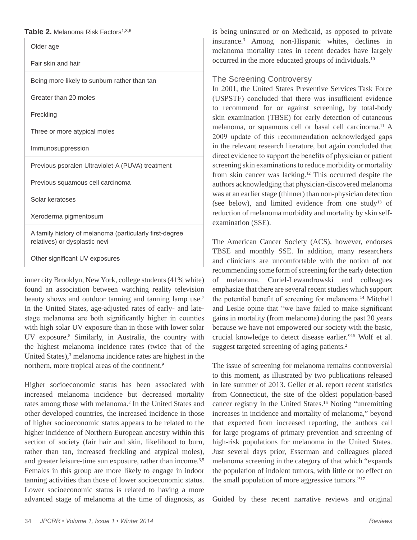| Table 2. Melanoma Risk Factors <sup>1,3,6</sup> |  |
|-------------------------------------------------|--|
|-------------------------------------------------|--|

| Older age                                                                                |  |
|------------------------------------------------------------------------------------------|--|
| Fair skin and hair                                                                       |  |
| Being more likely to sunburn rather than tan                                             |  |
| Greater than 20 moles                                                                    |  |
| Freckling                                                                                |  |
| Three or more atypical moles                                                             |  |
| Immunosuppression                                                                        |  |
| Previous psoralen Ultraviolet-A (PUVA) treatment                                         |  |
| Previous squamous cell carcinoma                                                         |  |
| Solar keratoses                                                                          |  |
| Xeroderma pigmentosum                                                                    |  |
| A family history of melanoma (particularly first-degree<br>relatives) or dysplastic nevi |  |
| Other significant UV exposures                                                           |  |

inner city Brooklyn, New York, college students (41% white) found an association between watching reality television beauty shows and outdoor tanning and tanning lamp use.<sup>7</sup> In the United States, age-adjusted rates of early- and latestage melanoma are both significantly higher in counties with high solar UV exposure than in those with lower solar UV exposure.8 Similarly, in Australia, the country with the highest melanoma incidence rates (twice that of the United States),<sup>3</sup> melanoma incidence rates are highest in the northern, more tropical areas of the continent.<sup>9</sup>

Higher socioeconomic status has been associated with increased melanoma incidence but decreased mortality rates among those with melanoma.<sup>2</sup> In the United States and other developed countries, the increased incidence in those of higher socioeconomic status appears to be related to the higher incidence of Northern European ancestry within this section of society (fair hair and skin, likelihood to burn, rather than tan, increased freckling and atypical moles), and greater leisure-time sun exposure, rather than income.<sup>3,5</sup> Females in this group are more likely to engage in indoor tanning activities than those of lower socioeconomic status. Lower socioeconomic status is related to having a more advanced stage of melanoma at the time of diagnosis, as

is being uninsured or on Medicaid, as opposed to private insurance.3 Among non-Hispanic whites, declines in melanoma mortality rates in recent decades have largely occurred in the more educated groups of individuals.10

# The Screening Controversy

In 2001, the United States Preventive Services Task Force (USPSTF) concluded that there was insufficient evidence to recommend for or against screening, by total-body skin examination (TBSE) for early detection of cutaneous melanoma, or squamous cell or basal cell carcinoma.11 A 2009 update of this recommendation acknowledged gaps in the relevant research literature, but again concluded that direct evidence to support the benefits of physician or patient screening skin examinations to reduce morbidity or mortality from skin cancer was lacking.12 This occurred despite the authors acknowledging that physician-discovered melanoma was at an earlier stage (thinner) than non-physician detection (see below), and limited evidence from one study<sup>13</sup> of reduction of melanoma morbidity and mortality by skin selfexamination (SSE).

The American Cancer Society (ACS), however, endorses TBSE and monthly SSE. In addition, many researchers and clinicians are uncomfortable with the notion of not recommending some form of screening for the early detection of melanoma. Curiel-Lewandrowski and colleagues emphasize that there are several recent studies which support the potential benefit of screening for melanoma.14 Mitchell and Leslie opine that "we have failed to make significant gains in mortality (from melanoma) during the past 20 years because we have not empowered our society with the basic, crucial knowledge to detect disease earlier."15 Wolf et al. suggest targeted screening of aging patients.<sup>2</sup>

The issue of screening for melanoma remains controversial to this moment, as illustrated by two publications released in late summer of 2013. Geller et al. report recent statistics from Connecticut, the site of the oldest population-based cancer registry in the United States.16 Noting "unremitting increases in incidence and mortality of melanoma," beyond that expected from increased reporting, the authors call for large programs of primary prevention and screening of high-risk populations for melanoma in the United States. Just several days prior, Esserman and colleagues placed melanoma screening in the category of that which "expands the population of indolent tumors, with little or no effect on the small population of more aggressive tumors."17

Guided by these recent narrative reviews and original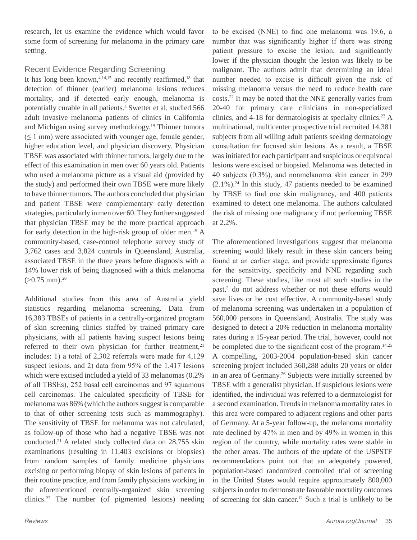research, let us examine the evidence which would favor some form of screening for melanoma in the primary care setting.

# Recent Evidence Regarding Screening

It has long been known, $4,14,15$  and recently reaffirmed, $18$  that detection of thinner (earlier) melanoma lesions reduces mortality, and if detected early enough, melanoma is potentially curable in all patients.<sup>4</sup> Swetter et al. studied 566 adult invasive melanoma patients of clinics in California and Michigan using survey methodology.<sup>19</sup> Thinner tumors  $(\leq 1$  mm) were associated with younger age, female gender, higher education level, and physician discovery. Physician TBSE was associated with thinner tumors, largely due to the effect of this examination in men over 60 years old. Patients who used a melanoma picture as a visual aid (provided by the study) and performed their own TBSE were more likely to have thinner tumors. The authors concluded that physician and patient TBSE were complementary early detection strategies, particularly in men over 60. They further suggested that physician TBSE may be the more practical approach for early detection in the high-risk group of older men.<sup>19</sup> A community-based, case-control telephone survey study of 3,762 cases and 3,824 controls in Queensland, Australia, associated TBSE in the three years before diagnosis with a 14% lower risk of being diagnosed with a thick melanoma  $(>0.75$  mm $).^{20}$ 

Additional studies from this area of Australia yield statistics regarding melanoma screening. Data from 16,383 TBSEs of patients in a centrally-organized program of skin screening clinics staffed by trained primary care physicians, with all patients having suspect lesions being referred to their own physician for further treatment,<sup>21</sup> includes: 1) a total of 2,302 referrals were made for 4,129 suspect lesions, and 2) data from 95% of the 1,417 lesions which were excised included a yield of 33 melanomas (0.2% of all TBSEs), 252 basal cell carcinomas and 97 squamous cell carcinomas. The calculated specificity of TBSE for melanoma was 86% (which the authors suggest is comparable to that of other screening tests such as mammography). The sensitivity of TBSE for melanoma was not calculated, as follow-up of those who had a negative TBSE was not conducted.21 A related study collected data on 28,755 skin examinations (resulting in 11,403 excisions or biopsies) from random samples of family medicine physicians excising or performing biopsy of skin lesions of patients in their routine practice, and from family physicians working in the aforementioned centrally-organized skin screening clinics.22 The number (of pigmented lesions) needing

to be excised (NNE) to find one melanoma was 19.6, a number that was significantly higher if there was strong patient pressure to excise the lesion, and significantly lower if the physician thought the lesion was likely to be malignant. The authors admit that determining an ideal number needed to excise is difficult given the risk of missing melanoma versus the need to reduce health care costs.22 It may be noted that the NNE generally varies from 20-40 for primary care clinicians in non-specialized clinics, and 4-18 for dermatologists at specialty clinics.23 A multinational, multicenter prospective trial recruited 14,381 subjects from all willing adult patients seeking dermatology consultation for focused skin lesions. As a result, a TBSE was initiated for each participant and suspicious or equivocal lesions were excised or biopsied. Melanoma was detected in 40 subjects (0.3%), and nonmelanoma skin cancer in 299  $(2.1\%)$ <sup>24</sup>. In this study, 47 patients needed to be examined by TBSE to find one skin malignancy, and 400 patients examined to detect one melanoma. The authors calculated the risk of missing one malignancy if not performing TBSE at 2.2%.

The aforementioned investigations suggest that melanoma screening would likely result in these skin cancers being found at an earlier stage, and provide approximate figures for the sensitivity, specificity and NNE regarding such screening. These studies, like most all such studies in the past,<sup>2</sup> do not address whether or not these efforts would save lives or be cost effective. A community-based study of melanoma screening was undertaken in a population of 560,000 persons in Queensland, Australia. The study was designed to detect a 20% reduction in melanoma mortality rates during a 15-year period. The trial, however, could not be completed due to the significant cost of the program.<sup>14,25</sup> A compelling, 2003-2004 population-based skin cancer screening project included 360,288 adults 20 years or older in an area of Germany.26 Subjects were initially screened by TBSE with a generalist physician. If suspicious lesions were identified, the individual was referred to a dermatologist for a second examination. Trends in melanoma mortality rates in this area were compared to adjacent regions and other parts of Germany. At a 5-year follow-up, the melanoma mortality rate declined by 47% in men and by 49% in women in this region of the country, while mortality rates were stable in the other areas. The authors of the update of the USPSTF recommendations point out that an adequately powered, population-based randomized controlled trial of screening in the United States would require approximately 800,000 subjects in order to demonstrate favorable mortality outcomes of screening for skin cancer.12 Such a trial is unlikely to be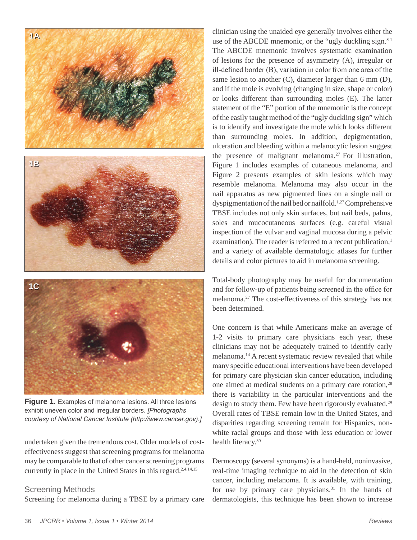

**Figure 1.** Examples of melanoma lesions. All three lesions exhibit uneven color and irregular borders. *[Photographs courtesy of National Cancer Institute (http://www.cancer.gov).]*

undertaken given the tremendous cost. Older models of costeffectiveness suggest that screening programs for melanoma may be comparable to that of other cancer screening programs currently in place in the United States in this regard.<sup>2,4,14,15</sup>

#### Screening Methods

Screening for melanoma during a TBSE by a primary care

clinician using the unaided eye generally involves either the use of the ABCDE mnemonic, or the "ugly duckling sign."1 The ABCDE mnemonic involves systematic examination of lesions for the presence of asymmetry (A), irregular or ill-defined border (B), variation in color from one area of the same lesion to another (C), diameter larger than 6 mm (D), and if the mole is evolving (changing in size, shape or color) or looks different than surrounding moles (E). The latter statement of the "E" portion of the mnemonic is the concept of the easily taught method of the "ugly duckling sign" which is to identify and investigate the mole which looks different than surrounding moles. In addition, depigmentation, ulceration and bleeding within a melanocytic lesion suggest the presence of malignant melanoma.<sup>27</sup> For illustration, Figure 1 includes examples of cutaneous melanoma, and Figure 2 presents examples of skin lesions which may resemble melanoma. Melanoma may also occur in the nail apparatus as new pigmented lines on a single nail or dyspigmentation of the nail bed or nailfold.<sup>1,27</sup> Comprehensive TBSE includes not only skin surfaces, but nail beds, palms, soles and mucocutaneous surfaces (e.g. careful visual inspection of the vulvar and vaginal mucosa during a pelvic examination). The reader is referred to a recent publication,<sup>1</sup> and a variety of available dermatologic atlases for further details and color pictures to aid in melanoma screening.

Total-body photography may be useful for documentation and for follow-up of patients being screened in the office for melanoma.27 The cost-effectiveness of this strategy has not been determined.

One concern is that while Americans make an average of 1-2 visits to primary care physicians each year, these clinicians may not be adequately trained to identify early melanoma.14 A recent systematic review revealed that while many specific educational interventions have been developed for primary care physician skin cancer education, including one aimed at medical students on a primary care rotation,<sup>28</sup> there is variability in the particular interventions and the design to study them. Few have been rigorously evaluated.<sup>29</sup> Overall rates of TBSE remain low in the United States, and disparities regarding screening remain for Hispanics, nonwhite racial groups and those with less education or lower health literacy.<sup>30</sup>

Dermoscopy (several synonyms) is a hand-held, noninvasive, real-time imaging technique to aid in the detection of skin cancer, including melanoma. It is available, with training, for use by primary care physicians.<sup>31</sup> In the hands of dermatologists, this technique has been shown to increase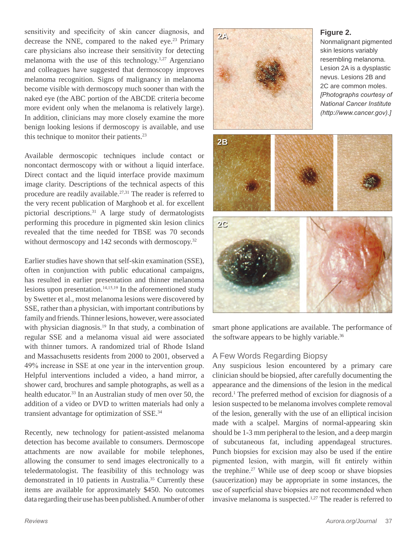sensitivity and specificity of skin cancer diagnosis, and decrease the NNE, compared to the naked eye.<sup>23</sup> Primary care physicians also increase their sensitivity for detecting melanoma with the use of this technology.1,27 Argenziano and colleagues have suggested that dermoscopy improves melanoma recognition. Signs of malignancy in melanoma become visible with dermoscopy much sooner than with the naked eye (the ABC portion of the ABCDE criteria become more evident only when the melanoma is relatively large). In addition, clinicians may more closely examine the more benign looking lesions if dermoscopy is available, and use this technique to monitor their patients.<sup>23</sup>

Available dermoscopic techniques include contact or noncontact dermoscopy with or without a liquid interface. Direct contact and the liquid interface provide maximum image clarity. Descriptions of the technical aspects of this procedure are readily available.<sup>27,31</sup> The reader is referred to the very recent publication of Marghoob et al. for excellent pictorial descriptions.31 A large study of dermatologists performing this procedure in pigmented skin lesion clinics revealed that the time needed for TBSE was 70 seconds without dermoscopy and 142 seconds with dermoscopy.<sup>32</sup>

Earlier studies have shown that self-skin examination (SSE), often in conjunction with public educational campaigns, has resulted in earlier presentation and thinner melanoma lesions upon presentation.<sup>14,15,19</sup> In the aforementioned study by Swetter et al., most melanoma lesions were discovered by SSE, rather than a physician, with important contributions by family and friends. Thinner lesions, however, were associated with physician diagnosis.<sup>19</sup> In that study, a combination of regular SSE and a melanoma visual aid were associated with thinner tumors. A randomized trial of Rhode Island and Massachusetts residents from 2000 to 2001, observed a 49% increase in SSE at one year in the intervention group. Helpful interventions included a video, a hand mirror, a shower card, brochures and sample photographs, as well as a health educator.<sup>33</sup> In an Australian study of men over 50, the addition of a video or DVD to written materials had only a transient advantage for optimization of SSE.34

Recently, new technology for patient-assisted melanoma detection has become available to consumers. Dermoscope attachments are now available for mobile telephones, allowing the consumer to send images electronically to a teledermatologist. The feasibility of this technology was demonstrated in 10 patients in Australia.<sup>35</sup> Currently these items are available for approximately \$450. No outcomes data regarding their use has been published. A number of other



smart phone applications are available. The performance of the software appears to be highly variable.<sup>36</sup>

# A Few Words Regarding Biopsy

Any suspicious lesion encountered by a primary care clinician should be biopsied, after carefully documenting the appearance and the dimensions of the lesion in the medical record.1 The preferred method of excision for diagnosis of a lesion suspected to be melanoma involves complete removal of the lesion, generally with the use of an elliptical incision made with a scalpel. Margins of normal-appearing skin should be 1-3 mm peripheral to the lesion, and a deep margin of subcutaneous fat, including appendageal structures. Punch biopsies for excision may also be used if the entire pigmented lesion, with margin, will fit entirely within the trephine.<sup>27</sup> While use of deep scoop or shave biopsies (saucerization) may be appropriate in some instances, the use of superficial shave biopsies are not recommended when invasive melanoma is suspected.<sup>1,27</sup> The reader is referred to

# **2A Figure 2.**

Nonmalignant pigmented skin lesions variably resembling melanoma. Lesion 2A is a dysplastic *[Photographs courtesy of National Cancer Institute (http://www.cancer.gov).]*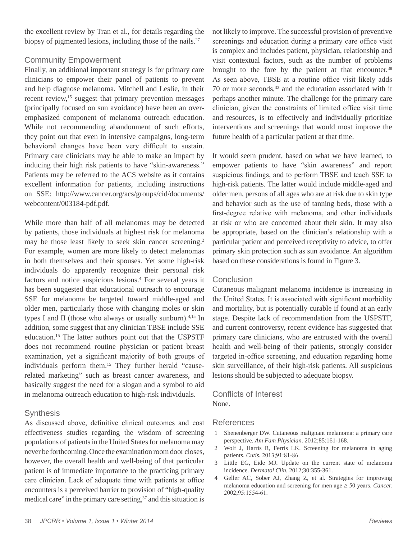the excellent review by Tran et al., for details regarding the biopsy of pigmented lesions, including those of the nails.<sup>27</sup>

# Community Empowerment

Finally, an additional important strategy is for primary care clinicians to empower their panel of patients to prevent and help diagnose melanoma. Mitchell and Leslie, in their recent review,<sup>15</sup> suggest that primary prevention messages (principally focused on sun avoidance) have been an overemphasized component of melanoma outreach education. While not recommending abandonment of such efforts, they point out that even in intensive campaigns, long-term behavioral changes have been very difficult to sustain. Primary care clinicians may be able to make an impact by inducing their high risk patients to have "skin-awareness." Patients may be referred to the ACS website as it contains excellent information for patients, including instructions on SSE: http://www.cancer.org/acs/groups/cid/documents/ webcontent/003184-pdf.pdf.

While more than half of all melanomas may be detected by patients, those individuals at highest risk for melanoma may be those least likely to seek skin cancer screening.<sup>2</sup> For example, women are more likely to detect melanomas in both themselves and their spouses. Yet some high-risk individuals do apparently recognize their personal risk factors and notice suspicious lesions.<sup>4</sup> For several years it has been suggested that educational outreach to encourage SSE for melanoma be targeted toward middle-aged and older men, particularly those with changing moles or skin types I and II (those who always or usually sunburn). $4,15$  In addition, some suggest that any clinician TBSE include SSE education.15 The latter authors point out that the USPSTF does not recommend routine physician or patient breast examination, yet a significant majority of both groups of individuals perform them.15 They further herald "causerelated marketing" such as breast cancer awareness, and basically suggest the need for a slogan and a symbol to aid in melanoma outreach education to high-risk individuals.

# **Synthesis**

As discussed above, definitive clinical outcomes and cost effectiveness studies regarding the wisdom of screening populations of patients in the United States for melanoma may never be forthcoming. Once the examination room door closes, however, the overall health and well-being of that particular patient is of immediate importance to the practicing primary care clinician. Lack of adequate time with patients at office encounters is a perceived barrier to provision of "high-quality medical care" in the primary care setting, $37$  and this situation is

not likely to improve. The successful provision of preventive screenings and education during a primary care office visit is complex and includes patient, physician, relationship and visit contextual factors, such as the number of problems brought to the fore by the patient at that encounter.<sup>38</sup> As seen above, TBSE at a routine office visit likely adds 70 or more seconds, $32$  and the education associated with it perhaps another minute. The challenge for the primary care clinician, given the constraints of limited office visit time and resources, is to effectively and individually prioritize interventions and screenings that would most improve the future health of a particular patient at that time.

It would seem prudent, based on what we have learned, to empower patients to have "skin awareness" and report suspicious findings, and to perform TBSE and teach SSE to high-risk patients. The latter would include middle-aged and older men, persons of all ages who are at risk due to skin type and behavior such as the use of tanning beds, those with a first-degree relative with melanoma, and other individuals at risk or who are concerned about their skin. It may also be appropriate, based on the clinician's relationship with a particular patient and perceived receptivity to advice, to offer primary skin protection such as sun avoidance. An algorithm based on these considerations is found in Figure 3.

# **Conclusion**

Cutaneous malignant melanoma incidence is increasing in the United States. It is associated with significant morbidity and mortality, but is potentially curable if found at an early stage. Despite lack of recommendation from the USPSTF, and current controversy, recent evidence has suggested that primary care clinicians, who are entrusted with the overall health and well-being of their patients, strongly consider targeted in-office screening, and education regarding home skin surveillance, of their high-risk patients. All suspicious lesions should be subjected to adequate biopsy.

### Conflicts of Interest None.

#### References

- 1 Shenenberger DW. Cutaneous malignant melanoma: a primary care perspective. *Am Fam Physician*. 2012;85:161-168.
- 2 Wolf J, Harris R, Ferris LK. Screening for melanoma in aging patients. *Cutis.* 2013;91:81-86.
- 3 Little EG, Eide MJ. Update on the current state of melanoma incidence. *Dermatol Clin.* 2012;30:355-361.
- 4 Geller AC, Sober AJ, Zhang Z, et al*.* Strategies for improving melanoma education and screening for men age ≥ 50 years. *Cancer.*  2002;95:1554-61.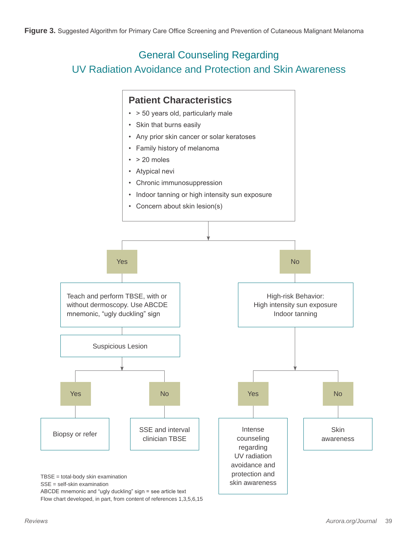# General Counseling Regarding UV Radiation Avoidance and Protection and Skin Awareness



ABCDE mnemonic and "ugly duckling" sign = see article text Flow chart developed, in part, from content of references 1,3,5,6,15